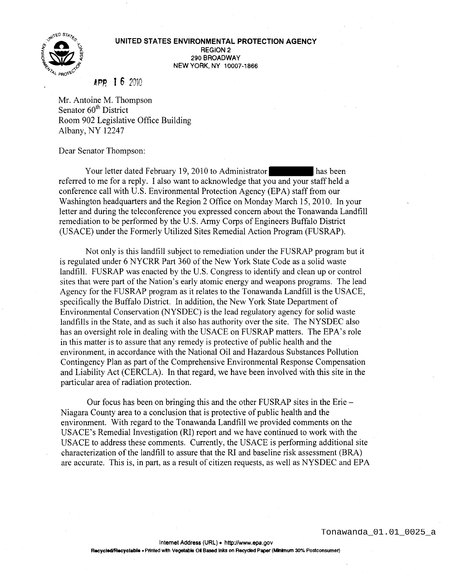

## UNITED STATES ENVIRONMENTAL PROTECTION AGENCY REGION 2 290 BROADWAY NEW YORK, NY 10007-1866

## APR I 6 <sup>2010</sup>

Mr. Antoine M. Thompson Senator 60<sup>th</sup> District Room 902 Legislative Office Building Albany, NY 12247

Dear Senator Thompson:

Your letter dated February 19, 2010 to Administrator has been referred to me for a reply. I also want to acknowledge that you and your staff held a conference call with U.S. Environmental Protection Agency (EPA) staff from our Washington headquarters and the Region 2 Office on Monday March 15,2010. In your letter and during the teleconference you expressed concern about the Tonawanda Landfill remediation to be performed by the U.S. Army Corps of Engineers Buffalo District (USACE) under the Formerly Utilized Sites Remedial Action Program (FUSRAP).

Not only is this landfill subject to remediation under the FUSRAP program but it is regulated under 6 NYCRR Part 360 of the New York State Code as a solid waste landfill. FUSRAP was enacted by the U.S. Congress to identify and clean up or control sites that were part of the Nation's early atomic energy and weapons programs. The lead Agency for the FUSRAP program as it relates to the Tonawanda Landfill is the USACE, specifically the Buffalo District. In addition, the New York State Department of Environmental Conservation (NYSDEC) is the lead regulatory agency for solid waste landfills in the State, and as such it also has authority over the site. The NYSDEC also has an oversight role in dealing with the USACE on FUSRAP matters. The EPA's role in this matter is to assure that any remedy is protective of public health and the environment, in accordance with the National Oil and Hazardous Substances Pollution Contingency Plan as part of the Comprehensive Environmental Response Compensation and Liability Act (CERCLA). In that regard, we have been involved with this site in the particular area of radiation protection.

Our focus has been on bringing this and the other FUSRAP sites in the Erie – Niagara County area to a conclusion that is protective of public health and the environment. With regard to the Tonawanda Landfill we provided comments on the USACE's Remedial Investigation (RI) report and we have continued to work with the USACE to address these comments. Currently, the USACE is performing additional site characterization of the landfill to assure that the RI and baseline risk assessment (BRA) are accurate. This is, in part, as a result of citizen requests, as well as NYSDEC and EPA

Tonawanda\_01.01\_0025\_a

Internet Address (URL) • http://www.epa.gov

Recycled/Recyclable • Printed with Vegetable Oil Based Inks on Recycled Paper (Minimum 30% Postconsumer)